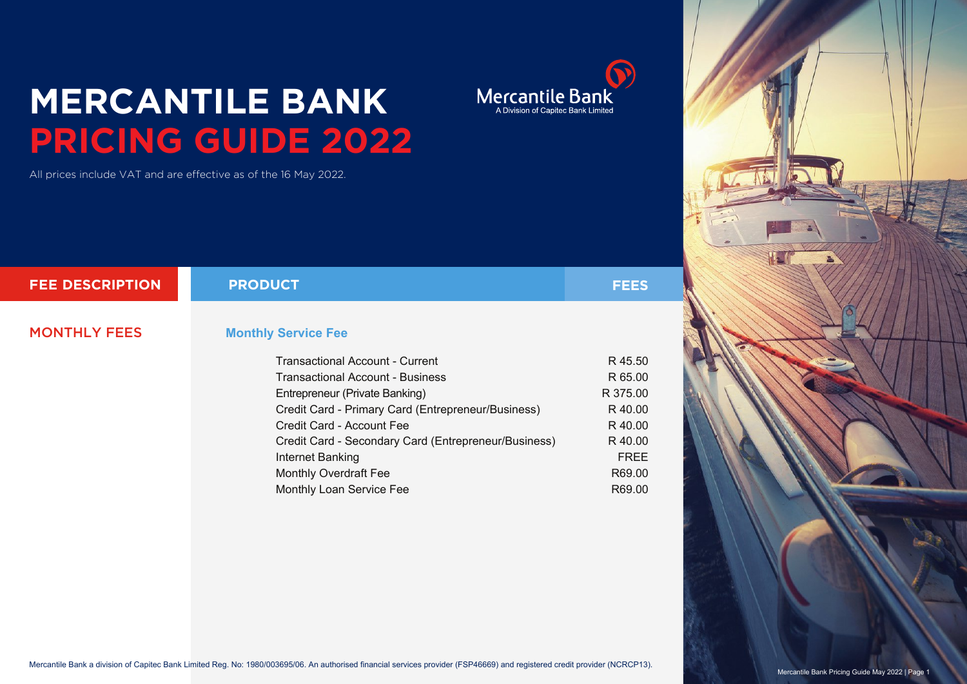## **MERCANTILE BANK PRICING GUIDE 2022**

All prices include VAT and are effective as of the 16 May 2022.

| <b>FEE DESCRIPTION</b> | <b>PRODUCT</b>                                       | <b>FEES</b> |
|------------------------|------------------------------------------------------|-------------|
|                        |                                                      |             |
| <b>MONTHLY FEES</b>    | <b>Monthly Service Fee</b>                           |             |
|                        | <b>Transactional Account - Current</b>               | R 45.50     |
|                        | <b>Transactional Account - Business</b>              | R 65.00     |
|                        | Entrepreneur (Private Banking)                       | R 375.00    |
|                        | Credit Card - Primary Card (Entrepreneur/Business)   | R 40.00     |
|                        | Credit Card - Account Fee                            | R 40.00     |
|                        | Credit Card - Secondary Card (Entrepreneur/Business) | R 40.00     |
|                        | Internet Banking                                     | <b>FREE</b> |
|                        | <b>Monthly Overdraft Fee</b>                         | R69.00      |

Monthly Loan Service Fee

 $\bigodot$ Mercantile Bank R69.00

Mercantile Bank a division of Capitec Bank Limited Reg. No: 1980/003695/06. An authorised financial services provider (FSP46669) and registered credit provider (NCRCP13).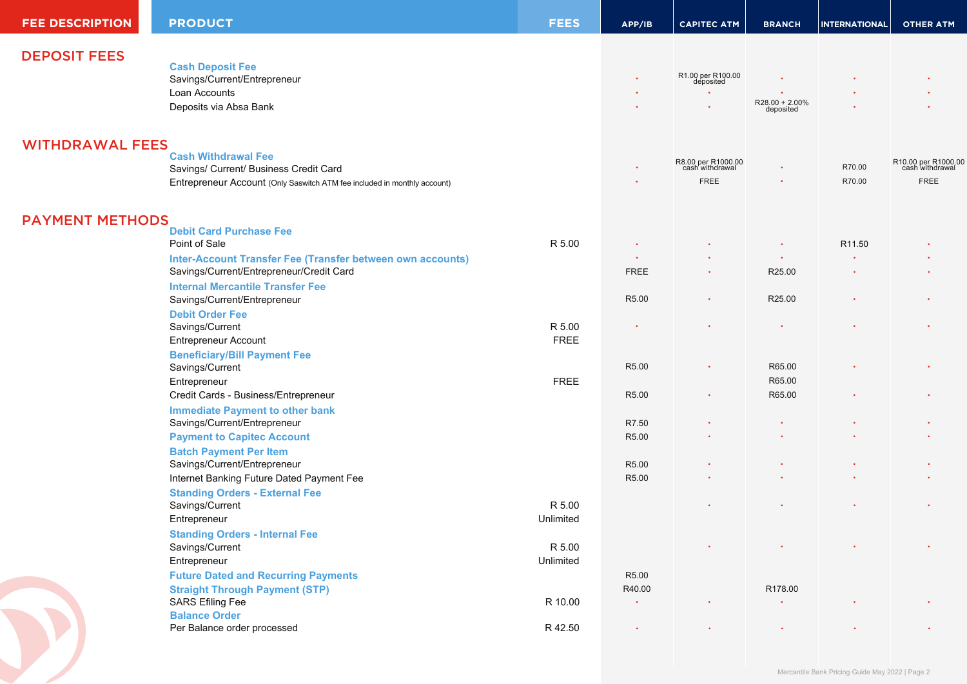| <b>FEE DESCRIPTION</b> | <b>PRODUCT</b>                                                           | <b>FEES</b>           | APP/IB                | <b>CAPITEC ATM</b>                    | <b>BRANCH</b>        | <b>INTERNATIONAL</b> | <b>OTHER ATM</b>                       |
|------------------------|--------------------------------------------------------------------------|-----------------------|-----------------------|---------------------------------------|----------------------|----------------------|----------------------------------------|
| <b>DEPOSIT FEES</b>    |                                                                          |                       |                       |                                       |                      |                      |                                        |
|                        | <b>Cash Deposit Fee</b>                                                  |                       |                       |                                       |                      |                      |                                        |
|                        | Savings/Current/Entrepreneur                                             |                       |                       | R1.00 per R100.00<br>deposited        |                      |                      |                                        |
|                        | Loan Accounts                                                            |                       |                       |                                       | $R28.00 + 2.00\%$    |                      |                                        |
|                        | Deposits via Absa Bank                                                   |                       |                       |                                       | deposited            |                      |                                        |
| <b>WITHDRAWAL FEES</b> |                                                                          |                       |                       |                                       |                      |                      |                                        |
|                        | <b>Cash Withdrawal Fee</b>                                               |                       |                       |                                       |                      |                      |                                        |
|                        | Savings/ Current/ Business Credit Card                                   |                       |                       | R8.00 per R1000.00<br>cash withdrawal |                      | R70.00               | R10.00 per R1000.00<br>cash withdrawal |
|                        | Entrepreneur Account (Only Saswitch ATM fee included in monthly account) |                       |                       | <b>FREE</b>                           |                      | R70.00               | <b>FREE</b>                            |
| <b>PAYMENT METHODS</b> |                                                                          |                       |                       |                                       |                      |                      |                                        |
|                        | <b>Debit Card Purchase Fee</b>                                           |                       |                       |                                       |                      |                      |                                        |
|                        | Point of Sale                                                            | R 5.00                |                       |                                       |                      | R11.50               |                                        |
|                        | Inter-Account Transfer Fee (Transfer between own accounts)               |                       |                       |                                       |                      |                      |                                        |
|                        | Savings/Current/Entrepreneur/Credit Card                                 |                       | <b>FREE</b>           |                                       | R25.00               |                      |                                        |
|                        | <b>Internal Mercantile Transfer Fee</b>                                  |                       |                       |                                       |                      |                      |                                        |
|                        | Savings/Current/Entrepreneur                                             |                       | R5.00                 |                                       | R25.00               |                      |                                        |
|                        | <b>Debit Order Fee</b>                                                   |                       |                       |                                       |                      |                      |                                        |
|                        | Savings/Current<br><b>Entrepreneur Account</b>                           | R 5.00<br><b>FREE</b> |                       |                                       |                      |                      |                                        |
|                        | <b>Beneficiary/Bill Payment Fee</b>                                      |                       |                       |                                       |                      |                      |                                        |
|                        | Savings/Current                                                          |                       | R5.00                 | ٠                                     | R65.00               |                      |                                        |
|                        | Entrepreneur                                                             | <b>FREE</b>           |                       |                                       | R65.00               |                      |                                        |
|                        | Credit Cards - Business/Entrepreneur                                     |                       | R5.00                 |                                       | R65.00               |                      |                                        |
|                        | <b>Immediate Payment to other bank</b>                                   |                       |                       |                                       |                      |                      |                                        |
|                        | Savings/Current/Entrepreneur                                             |                       | R7.50                 |                                       |                      |                      |                                        |
|                        | <b>Payment to Capitec Account</b>                                        |                       | R5.00                 |                                       |                      |                      |                                        |
|                        | <b>Batch Payment Per Item</b>                                            |                       |                       |                                       |                      |                      |                                        |
|                        | Savings/Current/Entrepreneur                                             |                       | R5.00                 |                                       |                      |                      |                                        |
|                        | Internet Banking Future Dated Payment Fee                                |                       | R5.00                 |                                       |                      |                      |                                        |
|                        | <b>Standing Orders - External Fee</b>                                    |                       |                       |                                       |                      |                      |                                        |
|                        | Savings/Current                                                          | R 5.00                |                       |                                       |                      |                      |                                        |
|                        | Entrepreneur                                                             | Unlimited             |                       |                                       |                      |                      |                                        |
|                        | <b>Standing Orders - Internal Fee</b>                                    |                       |                       |                                       |                      |                      |                                        |
|                        | Savings/Current                                                          | R 5.00                |                       |                                       |                      |                      |                                        |
|                        | Entrepreneur                                                             | Unlimited             |                       |                                       |                      |                      |                                        |
|                        | <b>Future Dated and Recurring Payments</b>                               |                       | R5.00                 |                                       |                      |                      |                                        |
|                        | <b>Straight Through Payment (STP)</b>                                    |                       | R40.00<br>$\bullet$ . |                                       | R178.00<br>$\bullet$ |                      |                                        |
|                        | <b>SARS Efiling Fee</b><br><b>Balance Order</b>                          | R 10.00               |                       |                                       |                      |                      |                                        |
|                        | Per Balance order processed                                              | R 42.50               | $\bullet$             |                                       | $\bullet$            |                      |                                        |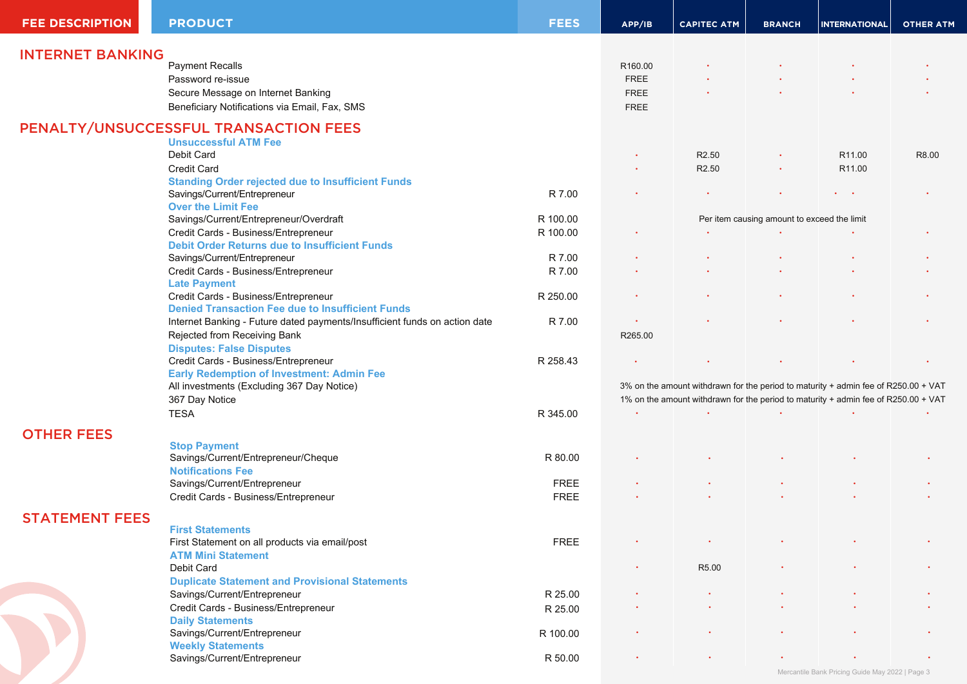| <b>FEE DESCRIPTION</b>  | <b>PRODUCT</b>                                                             | <b>FEES</b> | APP/IB                                                                             | <b>CAPITEC ATM</b> | <b>BRANCH</b>                               | <b>INTERNATIONAL</b>                            | <b>OTHER ATM</b> |
|-------------------------|----------------------------------------------------------------------------|-------------|------------------------------------------------------------------------------------|--------------------|---------------------------------------------|-------------------------------------------------|------------------|
|                         |                                                                            |             |                                                                                    |                    |                                             |                                                 |                  |
| <b>INTERNET BANKING</b> | <b>Payment Recalls</b>                                                     |             |                                                                                    |                    |                                             |                                                 |                  |
|                         |                                                                            |             | R160.00                                                                            |                    |                                             |                                                 |                  |
|                         | Password re-issue                                                          |             | <b>FREE</b>                                                                        |                    |                                             |                                                 |                  |
|                         | Secure Message on Internet Banking                                         |             | <b>FREE</b>                                                                        |                    |                                             |                                                 |                  |
|                         | Beneficiary Notifications via Email, Fax, SMS                              |             | <b>FREE</b>                                                                        |                    |                                             |                                                 |                  |
|                         | PENALTY/UNSUCCESSFUL TRANSACTION FEES                                      |             |                                                                                    |                    |                                             |                                                 |                  |
|                         | <b>Unsuccessful ATM Fee</b>                                                |             |                                                                                    |                    |                                             |                                                 |                  |
|                         | Debit Card                                                                 |             |                                                                                    | R <sub>2.50</sub>  |                                             | R <sub>11.00</sub>                              | R8.00            |
|                         | <b>Credit Card</b>                                                         |             |                                                                                    | R <sub>2.50</sub>  | $\bullet$                                   | R <sub>11.00</sub>                              |                  |
|                         | <b>Standing Order rejected due to Insufficient Funds</b>                   |             |                                                                                    |                    |                                             |                                                 |                  |
|                         | Savings/Current/Entrepreneur                                               | R 7.00      |                                                                                    |                    |                                             | $\mathbf{r} = \mathbf{r} \cdot \mathbf{r}$      |                  |
|                         | <b>Over the Limit Fee</b>                                                  |             |                                                                                    |                    |                                             |                                                 |                  |
|                         | Savings/Current/Entrepreneur/Overdraft                                     | R 100.00    |                                                                                    |                    | Per item causing amount to exceed the limit |                                                 |                  |
|                         | Credit Cards - Business/Entrepreneur                                       | R 100.00    |                                                                                    |                    |                                             |                                                 |                  |
|                         | <b>Debit Order Returns due to Insufficient Funds</b>                       |             |                                                                                    |                    |                                             |                                                 |                  |
|                         | Savings/Current/Entrepreneur                                               | R 7.00      |                                                                                    |                    |                                             |                                                 |                  |
|                         | Credit Cards - Business/Entrepreneur                                       | R 7.00      |                                                                                    |                    |                                             |                                                 |                  |
|                         | <b>Late Payment</b>                                                        |             |                                                                                    |                    |                                             |                                                 |                  |
|                         | Credit Cards - Business/Entrepreneur                                       | R 250.00    |                                                                                    |                    |                                             |                                                 |                  |
|                         | <b>Denied Transaction Fee due to Insufficient Funds</b>                    |             |                                                                                    |                    |                                             |                                                 |                  |
|                         | Internet Banking - Future dated payments/Insufficient funds on action date | R 7.00      |                                                                                    |                    |                                             |                                                 |                  |
|                         | Rejected from Receiving Bank                                               |             | R265.00                                                                            |                    |                                             |                                                 |                  |
|                         | <b>Disputes: False Disputes</b>                                            |             |                                                                                    |                    |                                             |                                                 |                  |
|                         | Credit Cards - Business/Entrepreneur                                       | R 258.43    |                                                                                    |                    |                                             |                                                 |                  |
|                         | <b>Early Redemption of Investment: Admin Fee</b>                           |             |                                                                                    |                    |                                             |                                                 |                  |
|                         | All investments (Excluding 367 Day Notice)                                 |             | 3% on the amount withdrawn for the period to maturity + admin fee of R250.00 + VAT |                    |                                             |                                                 |                  |
|                         | 367 Day Notice                                                             |             | 1% on the amount withdrawn for the period to maturity + admin fee of R250.00 + VAT |                    |                                             |                                                 |                  |
|                         | <b>TESA</b>                                                                | R 345.00    |                                                                                    |                    |                                             |                                                 |                  |
|                         |                                                                            |             |                                                                                    |                    |                                             |                                                 |                  |
| <b>OTHER FEES</b>       |                                                                            |             |                                                                                    |                    |                                             |                                                 |                  |
|                         | <b>Stop Payment</b>                                                        |             |                                                                                    |                    |                                             |                                                 |                  |
|                         | Savings/Current/Entrepreneur/Cheque                                        | R 80.00     |                                                                                    |                    |                                             |                                                 |                  |
|                         | <b>Notifications Fee</b>                                                   |             |                                                                                    |                    |                                             |                                                 |                  |
|                         | Savings/Current/Entrepreneur                                               | <b>FREE</b> |                                                                                    |                    |                                             |                                                 |                  |
|                         | Credit Cards - Business/Entrepreneur                                       | <b>FREE</b> |                                                                                    |                    |                                             |                                                 |                  |
| <b>STATEMENT FEES</b>   |                                                                            |             |                                                                                    |                    |                                             |                                                 |                  |
|                         | <b>First Statements</b>                                                    |             |                                                                                    |                    |                                             |                                                 |                  |
|                         | First Statement on all products via email/post                             | <b>FREE</b> |                                                                                    |                    |                                             |                                                 |                  |
|                         | <b>ATM Mini Statement</b>                                                  |             |                                                                                    |                    |                                             |                                                 |                  |
|                         | Debit Card                                                                 |             |                                                                                    | R5.00              |                                             |                                                 |                  |
|                         | <b>Duplicate Statement and Provisional Statements</b>                      |             |                                                                                    |                    |                                             |                                                 |                  |
|                         | Savings/Current/Entrepreneur                                               | R 25.00     |                                                                                    |                    |                                             |                                                 |                  |
|                         | Credit Cards - Business/Entrepreneur                                       | R 25.00     |                                                                                    |                    |                                             |                                                 |                  |
|                         | <b>Daily Statements</b>                                                    |             |                                                                                    |                    |                                             |                                                 |                  |
|                         | Savings/Current/Entrepreneur                                               | R 100.00    |                                                                                    |                    |                                             |                                                 |                  |
|                         | <b>Weekly Statements</b>                                                   |             |                                                                                    |                    |                                             |                                                 |                  |
|                         | Savings/Current/Entrepreneur                                               | R 50.00     |                                                                                    |                    |                                             |                                                 |                  |
|                         |                                                                            |             |                                                                                    |                    |                                             | Mercantile Bank Pricing Guide May 2022   Page 3 |                  |
|                         |                                                                            |             |                                                                                    |                    |                                             |                                                 |                  |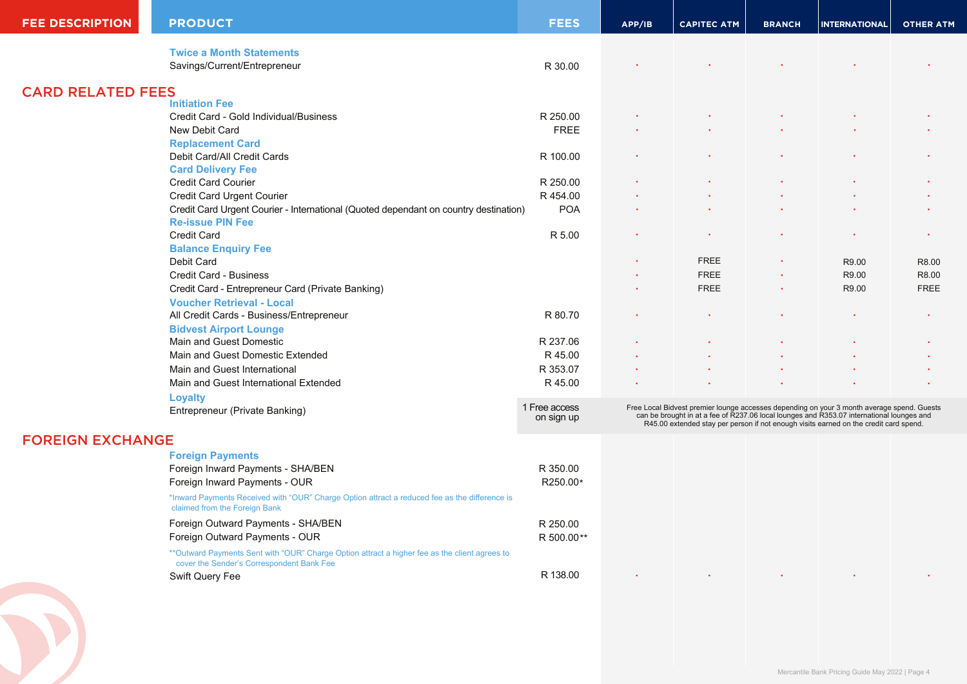| <b>FEE DESCRIPTION</b>   | <b>PRODUCT</b>                                                                                                                              | <b>FEES</b>                 | APP/IB                                                                                                                                                                                                                                                                        | <b>CAPITEC ATM</b> | <b>BRANCH</b> | <b>INTERNATIONAL</b>                            | <b>OTHER ATM</b> |
|--------------------------|---------------------------------------------------------------------------------------------------------------------------------------------|-----------------------------|-------------------------------------------------------------------------------------------------------------------------------------------------------------------------------------------------------------------------------------------------------------------------------|--------------------|---------------|-------------------------------------------------|------------------|
|                          | <b>Twice a Month Statements</b>                                                                                                             |                             |                                                                                                                                                                                                                                                                               |                    |               |                                                 |                  |
|                          | Savings/Current/Entrepreneur                                                                                                                | R 30.00                     |                                                                                                                                                                                                                                                                               |                    |               |                                                 |                  |
| <b>CARD RELATED FEES</b> |                                                                                                                                             |                             |                                                                                                                                                                                                                                                                               |                    |               |                                                 |                  |
|                          | <b>Initiation Fee</b>                                                                                                                       |                             |                                                                                                                                                                                                                                                                               |                    |               |                                                 |                  |
|                          | Credit Card - Gold Individual/Business                                                                                                      | R 250.00                    |                                                                                                                                                                                                                                                                               |                    |               |                                                 |                  |
|                          | New Debit Card                                                                                                                              | <b>FREE</b>                 |                                                                                                                                                                                                                                                                               |                    |               |                                                 |                  |
|                          | <b>Replacement Card</b>                                                                                                                     |                             |                                                                                                                                                                                                                                                                               |                    |               |                                                 |                  |
|                          | Debit Card/All Credit Cards                                                                                                                 | R 100.00                    |                                                                                                                                                                                                                                                                               |                    |               |                                                 |                  |
|                          | <b>Card Delivery Fee</b>                                                                                                                    |                             |                                                                                                                                                                                                                                                                               |                    |               |                                                 |                  |
|                          | <b>Credit Card Courier</b>                                                                                                                  | R 250.00                    |                                                                                                                                                                                                                                                                               |                    |               |                                                 |                  |
|                          | Credit Card Urgent Courier                                                                                                                  | R 454.00                    |                                                                                                                                                                                                                                                                               |                    |               |                                                 |                  |
|                          | Credit Card Urgent Courier - International (Quoted dependant on country destination)<br><b>Re-issue PIN Fee</b>                             | <b>POA</b>                  |                                                                                                                                                                                                                                                                               |                    |               |                                                 |                  |
|                          | Credit Card                                                                                                                                 | R 5.00                      |                                                                                                                                                                                                                                                                               |                    |               |                                                 |                  |
|                          | <b>Balance Enquiry Fee</b>                                                                                                                  |                             |                                                                                                                                                                                                                                                                               |                    |               |                                                 |                  |
|                          | Debit Card                                                                                                                                  |                             |                                                                                                                                                                                                                                                                               | <b>FREE</b>        |               | R9.00                                           | R8.00            |
|                          | Credit Card - Business                                                                                                                      |                             |                                                                                                                                                                                                                                                                               | <b>FREE</b>        |               | R9.00                                           | R8.00            |
|                          | Credit Card - Entrepreneur Card (Private Banking)                                                                                           |                             |                                                                                                                                                                                                                                                                               | <b>FREE</b>        |               | R9.00                                           | <b>FREE</b>      |
|                          | <b>Voucher Retrieval - Local</b>                                                                                                            |                             |                                                                                                                                                                                                                                                                               |                    |               |                                                 |                  |
|                          | All Credit Cards - Business/Entrepreneur                                                                                                    | R 80.70                     |                                                                                                                                                                                                                                                                               |                    |               |                                                 |                  |
|                          | <b>Bidvest Airport Lounge</b>                                                                                                               |                             |                                                                                                                                                                                                                                                                               |                    |               |                                                 |                  |
|                          | Main and Guest Domestic                                                                                                                     | R 237.06                    |                                                                                                                                                                                                                                                                               |                    |               |                                                 |                  |
|                          | Main and Guest Domestic Extended                                                                                                            | R 45.00                     |                                                                                                                                                                                                                                                                               |                    |               |                                                 |                  |
|                          | Main and Guest International                                                                                                                | R 353.07                    |                                                                                                                                                                                                                                                                               |                    |               |                                                 |                  |
|                          | Main and Guest International Extended                                                                                                       | R 45.00                     |                                                                                                                                                                                                                                                                               |                    |               |                                                 |                  |
|                          | <b>Loyalty</b>                                                                                                                              |                             |                                                                                                                                                                                                                                                                               |                    |               |                                                 |                  |
|                          | Entrepreneur (Private Banking)                                                                                                              | 1 Free access<br>on sign up | Free Local Bidvest premier lounge accesses depending on your 3 month average spend. Guests can be brought in at a fee of R237.06 local lounges and R353.07 international lounges and<br>R45.00 extended stay per person if not enough visits earned on the credit card spend. |                    |               |                                                 |                  |
| <b>FOREIGN EXCHANGE</b>  |                                                                                                                                             |                             |                                                                                                                                                                                                                                                                               |                    |               |                                                 |                  |
|                          | <b>Foreign Payments</b>                                                                                                                     |                             |                                                                                                                                                                                                                                                                               |                    |               |                                                 |                  |
|                          | Foreign Inward Payments - SHA/BEN                                                                                                           | R 350.00                    |                                                                                                                                                                                                                                                                               |                    |               |                                                 |                  |
|                          | Foreign Inward Payments - OUR                                                                                                               | R250.00*                    |                                                                                                                                                                                                                                                                               |                    |               |                                                 |                  |
|                          | *Inward Payments Received with "OUR" Charge Option attract a reduced fee as the difference is<br>claimed from the Foreign Bank              |                             |                                                                                                                                                                                                                                                                               |                    |               |                                                 |                  |
|                          | Foreign Outward Payments - SHA/BEN                                                                                                          | R 250.00                    |                                                                                                                                                                                                                                                                               |                    |               |                                                 |                  |
|                          | Foreign Outward Payments - OUR                                                                                                              | R 500.00**                  |                                                                                                                                                                                                                                                                               |                    |               |                                                 |                  |
|                          | ** Outward Payments Sent with "OUR" Charge Option attract a higher fee as the client agrees to<br>cover the Sender's Correspondent Bank Fee |                             |                                                                                                                                                                                                                                                                               |                    |               |                                                 |                  |
|                          | Swift Query Fee                                                                                                                             | R 138.00                    |                                                                                                                                                                                                                                                                               |                    |               |                                                 |                  |
|                          |                                                                                                                                             |                             |                                                                                                                                                                                                                                                                               |                    |               | Mercantile Bank Pricing Guide May 2022   Page 4 |                  |
|                          |                                                                                                                                             |                             |                                                                                                                                                                                                                                                                               |                    |               |                                                 |                  |